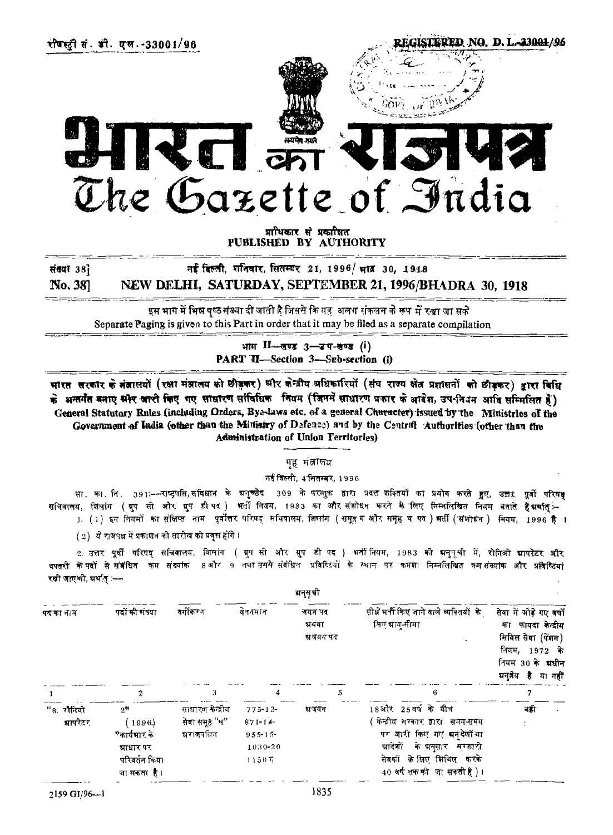

प्राधिकार से प्रकाशित PUBLISHED BY AUTHORITY

नई दिल्ली, शनिवार, सितम्बर 21, 1996/ भाव 30, 1918

संख्या 381

No. 38] NEW DELHI, SATURDAY, SEPTEMBER 21,1996/BHADRA 30, 1918

इस भाग में भिन्न पृष्ठ संख्या दी जाती है जिससे कि यह अलग संकलन के रूप में रखा जा सके Separate Paging is given to this Part in order that it may be filed as a separate compilation

> भाग II-सण्ड 3-उप-सण्ड (i) PART II-Section 3-Sub-section (i)

भारत सरकार के बंब्रालयों (रक्षा मंत्रालय को छीड़कर) श्रीर केन्द्रीय अधिकारियों (संघ राज्य क्षेत्र प्रशासनों को छीड़कर) द्वारा विधि के अन्तर्गत बनाए सौर आरी किए गए साधारण सांविधिक नियम (जिनमें साधारण प्रकार के आदेश, उप-नियम आदि सम्मिलित है) General Statutory Rules (including Orders, Bye-laws etc. of a general Character) issued by the Ministries of the Government of India (other than the Ministry of Defence) and by the Central Authorities (other than the administration of Union Territories)

गृह मंत्रालय

नई दिल्ली, 4 सितम्बर, 1996

सा. का. नि. 391≔—राष्ट्रपति,संविधान के चनुच्छेद 309 के परन्तुक द्वारा प्रदत्त शक्तियों का प्रयोग करते हुए, उत्तर पूर्वी परिष<del>4</del> सचिवालय, शिलांग (ग्रुप सी और ग्रुप डीपद) भर्ती नियम, 1983 का और संशोधन करने के लिए निम्नलिखित नियम बनाते हैंग्रमति <u>। (1) इन नियमों का संक्षिप्त नाम प्रवोंत्तर परिषद सचिवालय, शिलांग (समुह ग और समुह व पद ) भर्ती (संशोधन ) नियम, 1996 है ।</u>

(2) ये राजपक्ष में प्रकाशन की तारीख को प्रवृत्त होंगे।

2. उत्तर पूर्वी परिषद सचिवालय, शिलांग ( ग्रुप सी और ग्रुप डी पद ) भर्तीनियम, 1983 की मनुमुची में, रोनिओ मापरेटर और <del>षपत</del>री केपदों से संबंधित कम संब्यांक 8और 9 तथा उससे संबंधित प्रविष्टियों के स्थान पर कामणः निम्नलिखित कम सं<del>ख्यांक</del> और प्र<del>वि</del>ष्टियां रखी जाएथी, प्रथंत ≔–

| धनुसूची               |                                                                           |                                                   |                                                              |                               |                                                                                                                                                                                            |                                                                                                                                       |  |  |  |  |  |
|-----------------------|---------------------------------------------------------------------------|---------------------------------------------------|--------------------------------------------------------------|-------------------------------|--------------------------------------------------------------------------------------------------------------------------------------------------------------------------------------------|---------------------------------------------------------------------------------------------------------------------------------------|--|--|--|--|--|
| पद का नाम             | <b>पदों की संख्या</b>                                                     | वर्गीकरण                                          | वेतनमान                                                      | नयन पद<br>सर्यवा<br>ग्रवयम पद | सीधे मनी किए जाने वाले व्यक्तियों के<br>लिए बाय-सीमा                                                                                                                                       | सेना में ओड़े गए नयों<br>फायदा केन्द्रीय<br>का<br>सिविल सेवा (पेंशन)<br>नियम, 1972 के<br>नियम 30 के ब्राचीन<br>ग्रन्झेय है<br>या नहीं |  |  |  |  |  |
|                       |                                                                           | 3                                                 | 4                                                            | 5                             | 6                                                                                                                                                                                          |                                                                                                                                       |  |  |  |  |  |
| "8. रोनियो<br>भापरेटर | 25<br>(19.96)<br>*कार्यभार क<br>ग्राधार पर<br>परिवर्तन किया<br>जासकसा है। | साधारण केन्द्रीय<br>सेवा समूह ''घ''<br>स्रराजपतित | $775 - 12$<br>$871 - 14$<br>$9.55 - 1.5$<br>1030-20<br>1150E | भवयन                          | 18और 25वर्ष के बीच<br>केन्द्रीय सरकार द्वारा समय-समय<br>पर जारी किए <i>गए</i> सन् <i>दे</i> शों या<br>ग्रादेशों के प्रनुसार सरकारी<br>सेवकों के लिए मिथिल करके<br>40 वर्षसक की जासकती है)। | नही                                                                                                                                   |  |  |  |  |  |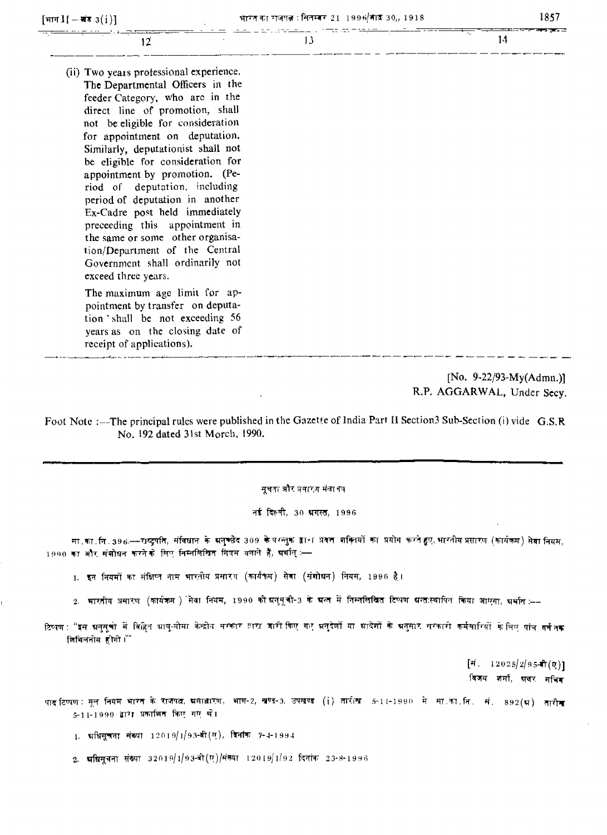| [भाग $\mathbf{I}$ ] – खंड $3(i)$ ]      | भारत का राजपत्न : सितम्बर 21-1996/भांद्र 30,, 1918 | 1857 |
|-----------------------------------------|----------------------------------------------------|------|
| 12                                      | 13                                                 | 14   |
| (ii) Two years professional experience. |                                                    |      |
| The Departmental Officers in the        |                                                    |      |
| feeder Category, who are in the         |                                                    |      |
| direct line of promotion, shall         |                                                    |      |
| not be eligible for consideration       |                                                    |      |
| for appointment on deputation.          |                                                    |      |
| Similarly, deputationist shall not      |                                                    |      |
| be eligible for consideration for       |                                                    |      |
| appointment by promotion. (Pe-          |                                                    |      |
| riod of deputation, including           |                                                    |      |
| period of deputation in another         |                                                    |      |
| Ex-Cadre post held immediately          |                                                    |      |
| preceeding this appointment in          |                                                    |      |
| the same or some other organisa-        |                                                    |      |

[No. 9-22/93-My(Admn.)] R.P. AGGARWAL, Under Secv.

Foot Note :--The principal rules were published in the Gazette of India Part II Section3 Sub-Section (i) vide G.S.R No. 192 dated 31st Morch, 1990.

सूचता और प्रवारण मंत्रातय

नई दिल्ली, 30 प्रगस्त, 1996

मा का ति 396—राष्ट्रपति, संविधान के अनुच्छेद 309 के परन्तुक द्वारा प्रवत शक्तियों का प्रयोग करते हुए भारतीय प्रसारण (कार्यकम) सेवा नियम, 1990 का और संशोधन करने के लिए निम्नलिखित निषम बनाने हैं, ग्रंथान् :-

- 1. इन नियमों का संक्षिप्त नाम भारतीय प्रसारण (कार्यकम) सेवा (संशोधन) नियम, 1996 है।
- 2. भारतीय प्रसारण (कार्यक्रम ) सेवा नियम, 1990 को न्नसूमची-3 के मन्त में निम्नलिखित टिप्पण सन्तःस्थापित किया आएगा, भ्रथान :––
- टिष्पण : <mark>"इस अनुसूत्रों में वि</mark>हित श्रायु-मीमा केन्द्रीय सरकार झरा जारी किए गए भनुदेशों या श्रादेशों के भनुसार सरकारी कर्मचारियों के लिए पांच वर्ष<sub>ों</sub>क जिथिलनीय होगी।

 $[\vec{r}$ . 12025/2/95- $\hat{\mathsf{n}}(\alpha)]$ विजय शर्मा, ग्रवर सचिव

पाद टिप्पण : मूल नियम भारत के राजपत्न, <mark>भ</mark>साधारण, भाग-2, खण्ड-3, उपखण्ड (i) तारीख -5-11-1990 में मा.का.नि. सं. -892(भ्र) तारीख 5-11-1990 द्वारा प्रकाशित किए गए थे।

1. प्रधिसूचना संख्या 12019/1/93-बी(ए), दिनांक 7-4-1994

tion/Department of the Central Government shall ordinarily not

The maximum age limit for appointment by transfer on deputation shall be not exceeding 56 years as on the closing date of

exceed three vears.

receipt of applications). 

2. भक्षिसूचना संख्या 32019/1/93-बी $(\sigma)$ /संख्या 12019/1/92 दिनांक 23-8-1996